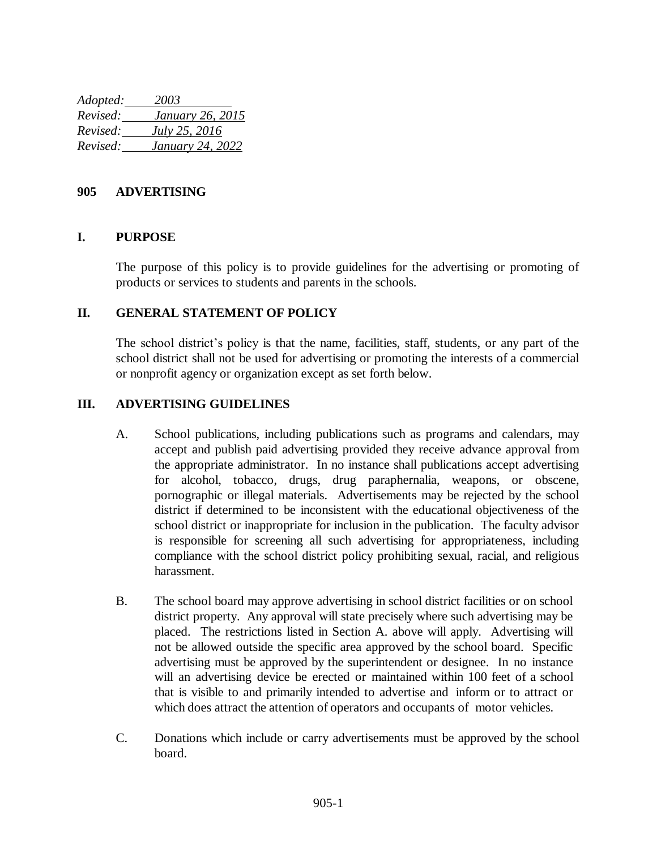*Adopted: 2003 Revised: January 26, 2015 Revised: July 25, 2016 Revised: January 24, 2022*

## **905 ADVERTISING**

## **I. PURPOSE**

The purpose of this policy is to provide guidelines for the advertising or promoting of products or services to students and parents in the schools.

## **II. GENERAL STATEMENT OF POLICY**

The school district's policy is that the name, facilities, staff, students, or any part of the school district shall not be used for advertising or promoting the interests of a commercial or nonprofit agency or organization except as set forth below.

## **III. ADVERTISING GUIDELINES**

- A. School publications, including publications such as programs and calendars, may accept and publish paid advertising provided they receive advance approval from the appropriate administrator. In no instance shall publications accept advertising for alcohol, tobacco, drugs, drug paraphernalia, weapons, or obscene, pornographic or illegal materials. Advertisements may be rejected by the school district if determined to be inconsistent with the educational objectiveness of the school district or inappropriate for inclusion in the publication. The faculty advisor is responsible for screening all such advertising for appropriateness, including compliance with the school district policy prohibiting sexual, racial, and religious harassment.
- B. The school board may approve advertising in school district facilities or on school district property. Any approval will state precisely where such advertising may be placed. The restrictions listed in Section A. above will apply. Advertising will not be allowed outside the specific area approved by the school board. Specific advertising must be approved by the superintendent or designee. In no instance will an advertising device be erected or maintained within 100 feet of a school that is visible to and primarily intended to advertise and inform or to attract or which does attract the attention of operators and occupants of motor vehicles.
- C. Donations which include or carry advertisements must be approved by the school board.